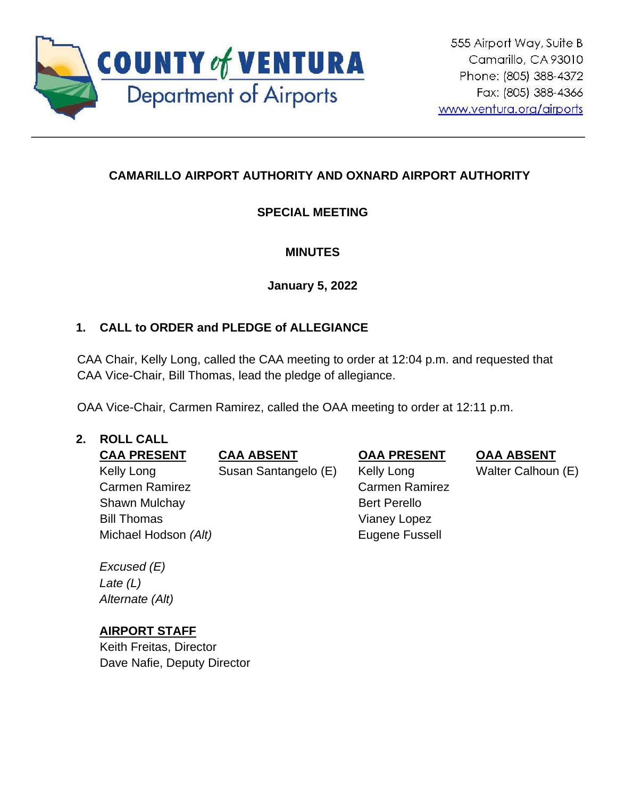

# **CAMARILLO AIRPORT AUTHORITY AND OXNARD AIRPORT AUTHORITY**

# **SPECIAL MEETING**

# **MINUTES**

**January 5, 2022**

# **1. CALL to ORDER and PLEDGE of ALLEGIANCE**

CAA Chair, Kelly Long, called the CAA meeting to order at 12:04 p.m. and requested that CAA Vice-Chair, Bill Thomas, lead the pledge of allegiance.

OAA Vice-Chair, Carmen Ramirez, called the OAA meeting to order at 12:11 p.m.

## **2. ROLL CALL**

**CAA PRESENT CAA ABSENT OAA PRESENT OAA ABSENT** Kelly Long Carmen Ramirez Susan Santangelo (E) Kelly Long Carmen Ramirez Shawn Mulchay Bill Thomas Bert Perello Vianey Lopez Michael Hodson *(Alt)* Eugene Fussell

*Excused (E) Late (L) Alternate (Alt)*

## **AIRPORT STAFF**

Keith Freitas, Director Dave Nafie, Deputy Director Walter Calhoun (E)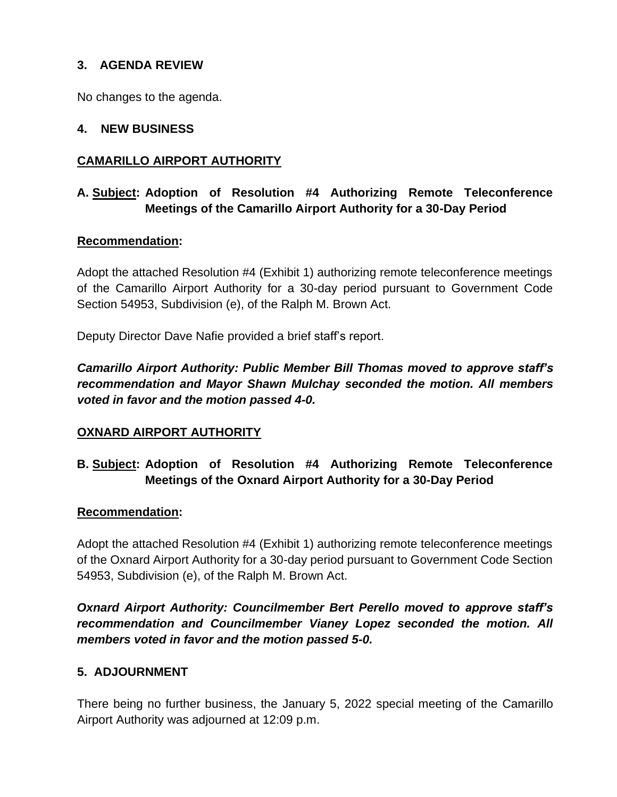## **3. AGENDA REVIEW**

No changes to the agenda.

### **4. NEW BUSINESS**

## **CAMARILLO AIRPORT AUTHORITY**

## **A. Subject: Adoption of Resolution #4 Authorizing Remote Teleconference Meetings of the Camarillo Airport Authority for a 30-Day Period**

### **Recommendation:**

Adopt the attached Resolution #4 (Exhibit 1) authorizing remote teleconference meetings of the Camarillo Airport Authority for a 30-day period pursuant to Government Code Section 54953, Subdivision (e), of the Ralph M. Brown Act.

Deputy Director Dave Nafie provided a brief staff's report.

*Camarillo Airport Authority: Public Member Bill Thomas moved to approve staff's recommendation and Mayor Shawn Mulchay seconded the motion. All members voted in favor and the motion passed 4-0.*

### **OXNARD AIRPORT AUTHORITY**

# **B. Subject: Adoption of Resolution #4 Authorizing Remote Teleconference Meetings of the Oxnard Airport Authority for a 30-Day Period**

### **Recommendation:**

Adopt the attached Resolution #4 (Exhibit 1) authorizing remote teleconference meetings of the Oxnard Airport Authority for a 30-day period pursuant to Government Code Section 54953, Subdivision (e), of the Ralph M. Brown Act.

*Oxnard Airport Authority: Councilmember Bert Perello moved to approve staff's recommendation and Councilmember Vianey Lopez seconded the motion. All members voted in favor and the motion passed 5-0.*

### **5. ADJOURNMENT**

There being no further business, the January 5, 2022 special meeting of the Camarillo Airport Authority was adjourned at 12:09 p.m.